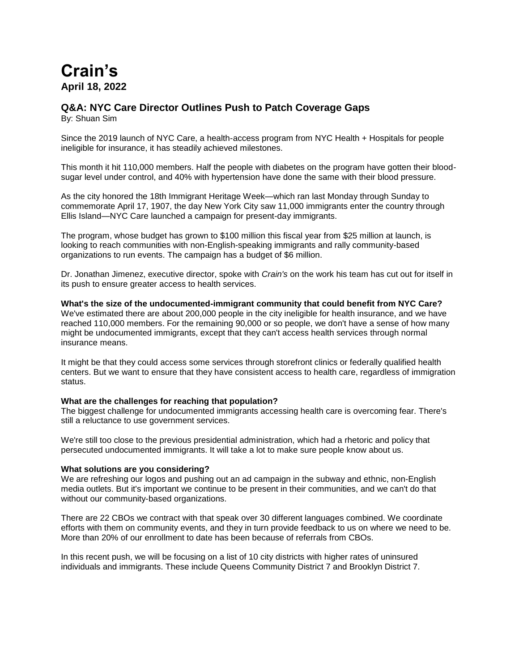# **Crain's April 18, 2022**

# **Q&A: NYC Care Director Outlines Push to Patch Coverage Gaps**

By: Shuan Sim

Since the 2019 launch of NYC Care, a health-access program from NYC Health + Hospitals for people ineligible for insurance, it has steadily achieved milestones.

This month it hit 110,000 members. Half the people with diabetes on the program have gotten their bloodsugar level under control, and 40% with hypertension have done the same with their blood pressure.

As the city honored the 18th Immigrant Heritage Week—which ran last Monday through Sunday to commemorate April 17, 1907, the day New York City saw 11,000 immigrants enter the country through Ellis Island—NYC Care launched a campaign for present-day immigrants.

The program, whose budget has grown to \$100 million this fiscal year from \$25 million at launch, is looking to reach communities with non-English-speaking immigrants and rally community-based organizations to run events. The campaign has a budget of \$6 million.

Dr. Jonathan Jimenez, executive director, spoke with *Crain's* on the work his team has cut out for itself in its push to ensure greater access to health services.

**What's the size of the undocumented-immigrant community that could benefit from NYC Care?** We've estimated there are about 200,000 people in the city ineligible for health insurance, and we have reached 110,000 members. For the remaining 90,000 or so people, we don't have a sense of how many might be undocumented immigrants, except that they can't access health services through normal insurance means.

It might be that they could access some services through storefront clinics or federally qualified health centers. But we want to ensure that they have consistent access to health care, regardless of immigration status.

## **What are the challenges for reaching that population?**

The biggest challenge for undocumented immigrants accessing health care is overcoming fear. There's still a reluctance to use government services.

We're still too close to the previous presidential administration, which had a rhetoric and policy that persecuted undocumented immigrants. It will take a lot to make sure people know about us.

### **What solutions are you considering?**

We are refreshing our logos and pushing out an ad campaign in the subway and ethnic, non-English media outlets. But it's important we continue to be present in their communities, and we can't do that without our community-based organizations.

There are 22 CBOs we contract with that speak over 30 different languages combined. We coordinate efforts with them on community events, and they in turn provide feedback to us on where we need to be. More than 20% of our enrollment to date has been because of referrals from CBOs.

In this recent push, we will be focusing on a list of 10 city districts with higher rates of uninsured individuals and immigrants. These include Queens Community District 7 and Brooklyn District 7.